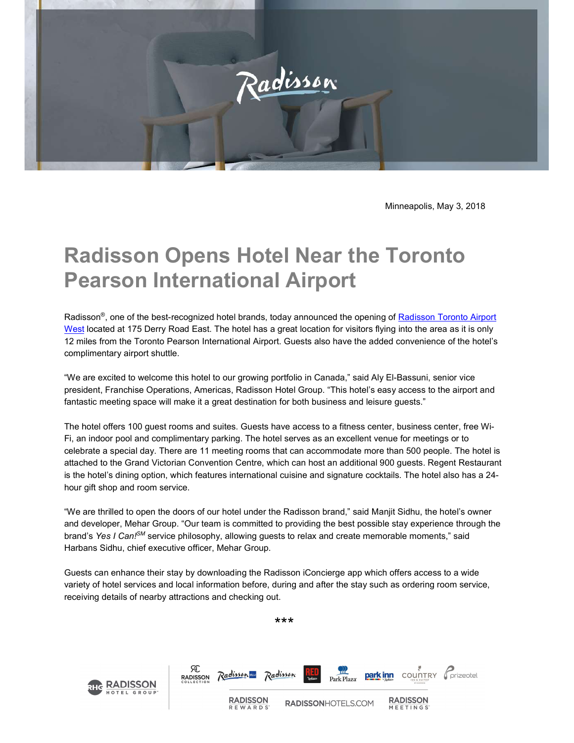

Minneapolis, May 3, 2018

## Radisson Opens Hotel Near the Toronto Pearson International Airport

Radisson<sup>®</sup>, one of the best-recognized hotel brands, today announced the opening of Radisson Toronto Airport West located at 175 Derry Road East. The hotel has a great location for visitors flying into the area as it is only 12 miles from the Toronto Pearson International Airport. Guests also have the added convenience of the hotel's complimentary airport shuttle.

"We are excited to welcome this hotel to our growing portfolio in Canada," said Aly El-Bassuni, senior vice president, Franchise Operations, Americas, Radisson Hotel Group. "This hotel's easy access to the airport and fantastic meeting space will make it a great destination for both business and leisure guests."

The hotel offers 100 guest rooms and suites. Guests have access to a fitness center, business center, free Wi-Fi, an indoor pool and complimentary parking. The hotel serves as an excellent venue for meetings or to celebrate a special day. There are 11 meeting rooms that can accommodate more than 500 people. The hotel is attached to the Grand Victorian Convention Centre, which can host an additional 900 guests. Regent Restaurant is the hotel's dining option, which features international cuisine and signature cocktails. The hotel also has a 24 hour gift shop and room service.

"We are thrilled to open the doors of our hotel under the Radisson brand," said Manjit Sidhu, the hotel's owner and developer, Mehar Group. "Our team is committed to providing the best possible stay experience through the brand's Yes I Can!<sup>SM</sup> service philosophy, allowing guests to relax and create memorable moments," said Harbans Sidhu, chief executive officer, Mehar Group.

Guests can enhance their stay by downloading the Radisson iConcierge app which offers access to a wide variety of hotel services and local information before, during and after the stay such as ordering room service, receiving details of nearby attractions and checking out.

\*\*\*